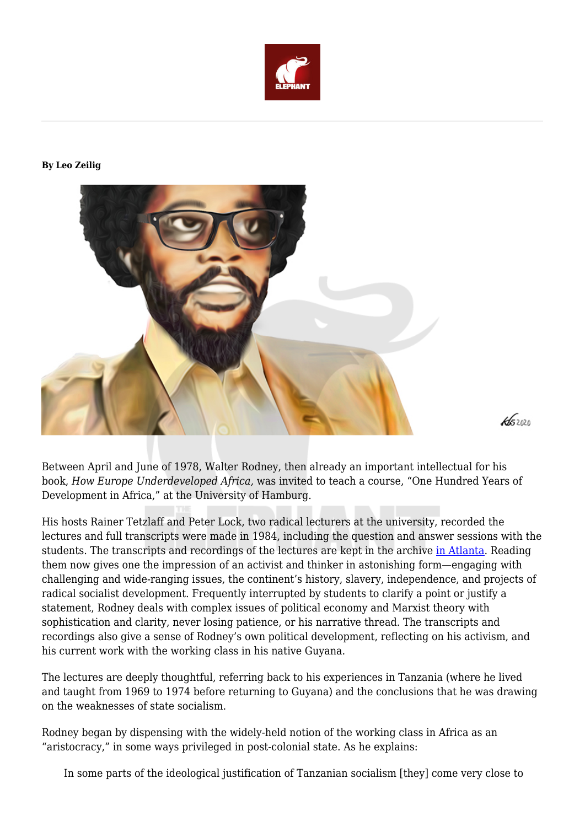

## **By Leo Zeilig**



Between April and June of 1978, Walter Rodney, then already an important intellectual for his book, *How Europe Underdeveloped Africa,* was invited to teach a course, "One Hundred Years of Development in Africa," at the University of Hamburg.

 $\frac{1}{52020}$ 

His hosts Rainer Tetzlaff and Peter Lock, two radical lecturers at the university, recorded the lectures and full transcripts were made in 1984, including the question and answer sessions with the students. The transcripts and recordings of the lectures are kept in the archive [in Atlanta](http://www.walterrodneyfoundation.org/). Reading them now gives one the impression of an activist and thinker in astonishing form—engaging with challenging and wide-ranging issues, the continent's history, slavery, independence, and projects of radical socialist development. Frequently interrupted by students to clarify a point or justify a statement, Rodney deals with complex issues of political economy and Marxist theory with sophistication and clarity, never losing patience, or his narrative thread. The transcripts and recordings also give a sense of Rodney's own political development, reflecting on his activism, and his current work with the working class in his native Guyana.

The lectures are deeply thoughtful, referring back to his experiences in Tanzania (where he lived and taught from 1969 to 1974 before returning to Guyana) and the conclusions that he was drawing on the weaknesses of state socialism.

Rodney began by dispensing with the widely-held notion of the working class in Africa as an "aristocracy," in some ways privileged in post-colonial state. As he explains:

In some parts of the ideological justification of Tanzanian socialism [they] come very close to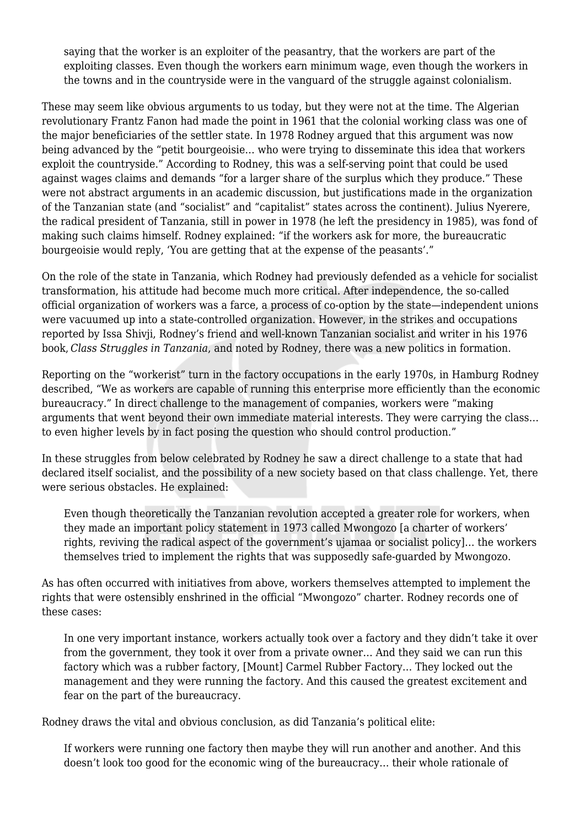saying that the worker is an exploiter of the peasantry, that the workers are part of the exploiting classes. Even though the workers earn minimum wage, even though the workers in the towns and in the countryside were in the vanguard of the struggle against colonialism.

These may seem like obvious arguments to us today, but they were not at the time. The Algerian revolutionary Frantz Fanon had made the point in 1961 that the colonial working class was one of the major beneficiaries of the settler state. In 1978 Rodney argued that this argument was now being advanced by the "petit bourgeoisie… who were trying to disseminate this idea that workers exploit the countryside." According to Rodney, this was a self-serving point that could be used against wages claims and demands "for a larger share of the surplus which they produce." These were not abstract arguments in an academic discussion, but justifications made in the organization of the Tanzanian state (and "socialist" and "capitalist" states across the continent). Julius Nyerere, the radical president of Tanzania, still in power in 1978 (he left the presidency in 1985), was fond of making such claims himself. Rodney explained: "if the workers ask for more, the bureaucratic bourgeoisie would reply, 'You are getting that at the expense of the peasants'."

On the role of the state in Tanzania, which Rodney had previously defended as a vehicle for socialist transformation, his attitude had become much more critical. After independence, the so-called official organization of workers was a farce, a process of co-option by the state—independent unions were vacuumed up into a state-controlled organization. However, in the strikes and occupations reported by Issa Shivji, Rodney's friend and well-known Tanzanian socialist and writer in his 1976 book, *Class Struggles in Tanzania*, and noted by Rodney, there was a new politics in formation.

Reporting on the "workerist" turn in the factory occupations in the early 1970s, in Hamburg Rodney described, "We as workers are capable of running this enterprise more efficiently than the economic bureaucracy." In direct challenge to the management of companies, workers were "making arguments that went beyond their own immediate material interests. They were carrying the class… to even higher levels by in fact posing the question who should control production."

In these struggles from below celebrated by Rodney he saw a direct challenge to a state that had declared itself socialist, and the possibility of a new society based on that class challenge. Yet, there were serious obstacles. He explained:

Even though theoretically the Tanzanian revolution accepted a greater role for workers, when they made an important policy statement in 1973 called Mwongozo [a charter of workers' rights, reviving the radical aspect of the government's ujamaa or socialist policy]… the workers themselves tried to implement the rights that was supposedly safe-guarded by Mwongozo.

As has often occurred with initiatives from above, workers themselves attempted to implement the rights that were ostensibly enshrined in the official "Mwongozo" charter. Rodney records one of these cases:

In one very important instance, workers actually took over a factory and they didn't take it over from the government, they took it over from a private owner… And they said we can run this factory which was a rubber factory, [Mount] Carmel Rubber Factory… They locked out the management and they were running the factory. And this caused the greatest excitement and fear on the part of the bureaucracy.

Rodney draws the vital and obvious conclusion, as did Tanzania's political elite:

If workers were running one factory then maybe they will run another and another. And this doesn't look too good for the economic wing of the bureaucracy… their whole rationale of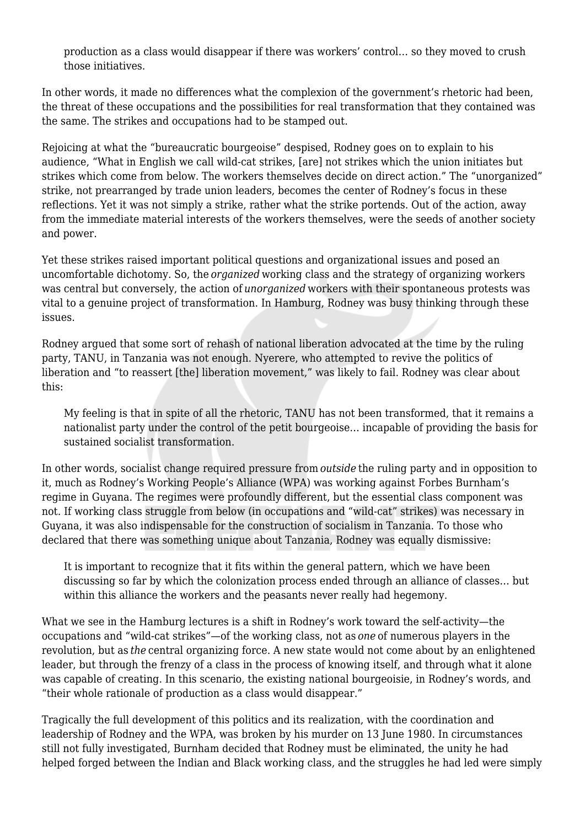production as a class would disappear if there was workers' control… so they moved to crush those initiatives.

In other words, it made no differences what the complexion of the government's rhetoric had been, the threat of these occupations and the possibilities for real transformation that they contained was the same. The strikes and occupations had to be stamped out.

Rejoicing at what the "bureaucratic bourgeoise" despised, Rodney goes on to explain to his audience, "What in English we call wild-cat strikes, [are] not strikes which the union initiates but strikes which come from below. The workers themselves decide on direct action." The "unorganized" strike, not prearranged by trade union leaders, becomes the center of Rodney's focus in these reflections. Yet it was not simply a strike, rather what the strike portends. Out of the action, away from the immediate material interests of the workers themselves, were the seeds of another society and power.

Yet these strikes raised important political questions and organizational issues and posed an uncomfortable dichotomy. So, the *organized* working class and the strategy of organizing workers was central but conversely, the action of *unorganized* workers with their spontaneous protests was vital to a genuine project of transformation. In Hamburg, Rodney was busy thinking through these issues.

Rodney argued that some sort of rehash of national liberation advocated at the time by the ruling party, TANU, in Tanzania was not enough. Nyerere, who attempted to revive the politics of liberation and "to reassert [the] liberation movement," was likely to fail. Rodney was clear about this:

My feeling is that in spite of all the rhetoric, TANU has not been transformed, that it remains a nationalist party under the control of the petit bourgeoise… incapable of providing the basis for sustained socialist transformation.

In other words, socialist change required pressure from *outside* the ruling party and in opposition to it, much as Rodney's Working People's Alliance (WPA) was working against Forbes Burnham's regime in Guyana. The regimes were profoundly different, but the essential class component was not. If working class struggle from below (in occupations and "wild-cat" strikes) was necessary in Guyana, it was also indispensable for the construction of socialism in Tanzania. To those who declared that there was something unique about Tanzania, Rodney was equally dismissive:

It is important to recognize that it fits within the general pattern, which we have been discussing so far by which the colonization process ended through an alliance of classes… but within this alliance the workers and the peasants never really had hegemony.

What we see in the Hamburg lectures is a shift in Rodney's work toward the self-activity—the occupations and "wild-cat strikes"—of the working class, not as *one* of numerous players in the revolution, but as *the* central organizing force. A new state would not come about by an enlightened leader, but through the frenzy of a class in the process of knowing itself, and through what it alone was capable of creating. In this scenario, the existing national bourgeoisie, in Rodney's words, and "their whole rationale of production as a class would disappear."

Tragically the full development of this politics and its realization, with the coordination and leadership of Rodney and the WPA, was broken by his murder on 13 June 1980. In circumstances still not fully investigated, Burnham decided that Rodney must be eliminated, the unity he had helped forged between the Indian and Black working class, and the struggles he had led were simply